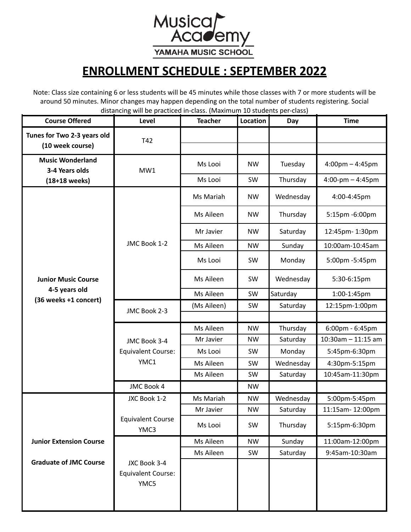Musica<br>Academy YAMAHA MUSIC SCHOOL

## **ENROLLMENT SCHEDULE : SEPTEMBER 2022**

Note: Class size containing 6 or less students will be 45 minutes while those classes with 7 or more students will be around 50 minutes. Minor changes may happen depending on the total number of students registering. Social distancing will be practiced in-class. (Maximum 10 students per-class)

| <b>Course Offered</b>                                                | Level                                             | <b>Teacher</b> | Location  | Day       | <b>Time</b>                       |
|----------------------------------------------------------------------|---------------------------------------------------|----------------|-----------|-----------|-----------------------------------|
| Tunes for Two 2-3 years old<br>(10 week course)                      | T42                                               |                |           |           |                                   |
| <b>Music Wonderland</b><br>3-4 Years olds                            | MW1                                               | Ms Looi        | <b>NW</b> | Tuesday   | $4:00 \text{pm} - 4:45 \text{pm}$ |
| $(18+18$ weeks)                                                      |                                                   | Ms Looi        | SW        | Thursday  | $4:00$ -pm $- 4:45$ pm            |
| <b>Junior Music Course</b><br>4-5 years old<br>(36 weeks +1 concert) | JMC Book 1-2                                      | Ms Mariah      | <b>NW</b> | Wednesday | 4:00-4:45pm                       |
|                                                                      |                                                   | Ms Aileen      | <b>NW</b> | Thursday  | 5:15pm -6:00pm                    |
|                                                                      |                                                   | Mr Javier      | <b>NW</b> | Saturday  | 12:45pm-1:30pm                    |
|                                                                      |                                                   | Ms Aileen      | <b>NW</b> | Sunday    | 10:00am-10:45am                   |
|                                                                      |                                                   | Ms Looi        | SW        | Monday    | 5:00pm -5:45pm                    |
|                                                                      |                                                   | Ms Aileen      | SW        | Wednesday | 5:30-6:15pm                       |
|                                                                      |                                                   | Ms Aileen      | SW        | Saturday  | 1:00-1:45pm                       |
|                                                                      | JMC Book 2-3                                      | (Ms Aileen)    | SW        | Saturday  | 12:15pm-1:00pm                    |
|                                                                      |                                                   |                |           |           |                                   |
|                                                                      |                                                   | Ms Aileen      | <b>NW</b> | Thursday  | 6:00pm - 6:45pm                   |
|                                                                      | JMC Book 3-4                                      | Mr Javier      | <b>NW</b> | Saturday  | $10:30$ am - 11:15 am             |
|                                                                      | <b>Equivalent Course:</b>                         | Ms Looi        | SW        | Monday    | 5:45pm-6:30pm                     |
|                                                                      | YMC1                                              | Ms Aileen      | SW        | Wednesday | 4:30pm-5:15pm                     |
|                                                                      |                                                   | Ms Aileen      | SW        | Saturday  | 10:45am-11:30pm                   |
|                                                                      | JMC Book 4                                        |                | <b>NW</b> |           |                                   |
|                                                                      | JXC Book 1-2                                      | Ms Mariah      | <b>NW</b> | Wednesday | 5:00pm-5:45pm                     |
|                                                                      |                                                   | Mr Javier      | <b>NW</b> | Saturday  | 11:15am-12:00pm                   |
|                                                                      | <b>Equivalent Course</b><br>YMC3                  | Ms Looi        | SW        | Thursday  | 5:15pm-6:30pm                     |
| <b>Junior Extension Course</b>                                       |                                                   | Ms Aileen      | <b>NW</b> | Sunday    | 11:00am-12:00pm                   |
|                                                                      |                                                   | Ms Aileen      | SW        | Saturday  | 9:45am-10:30am                    |
| <b>Graduate of JMC Course</b>                                        | JXC Book 3-4<br><b>Equivalent Course:</b><br>YMC5 |                |           |           |                                   |